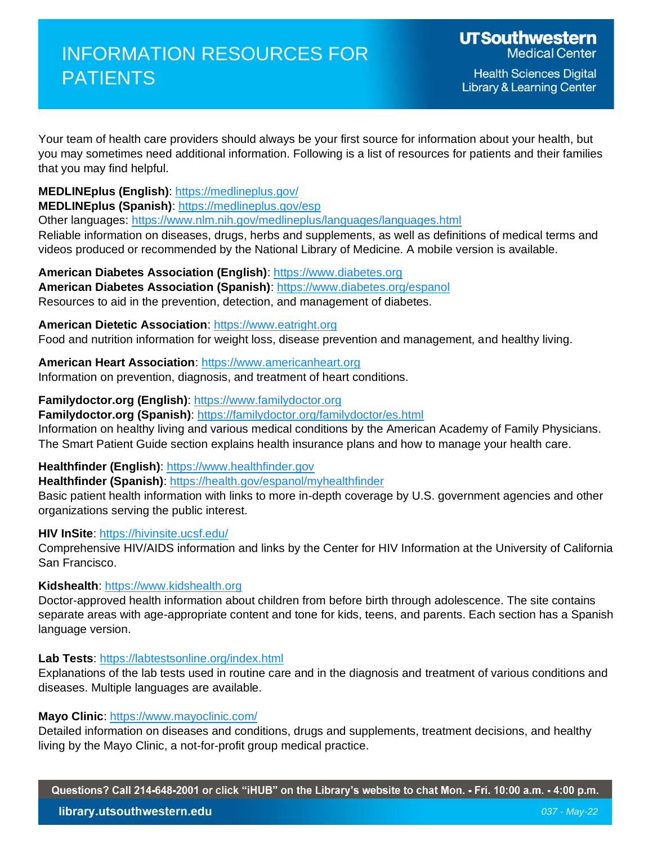**Health Sciences Digital Library & Learning Center** 

Your team of health care providers should always be your first source for information about your health, but you may sometimes need additional information. Following is a list of resources for patients and their families that you may find helpful.

# **MEDLINEplus (English)**:<https://medlineplus.gov/>

**MEDLINEplus (Spanish)**:<https://medlineplus.gov/esp>

Other languages:<https://www.nlm.nih.gov/medlineplus/languages/languages.html>

Reliable information on diseases, drugs, herbs and supplements, as well as definitions of medical terms and videos produced or recommended by the National Library of Medicine. A mobile version is available.

**American Diabetes Association (English)**: [https://www.diabetes.org](https://www.diabetes.org/) American Diabetes Association (Spanish): https://www.diabetes.org/espanol Resources to aid in the prevention, detection, and management of diabetes.

**American Dietetic Association**: [https://www.eatright.org](https://www.eatright.org/) Food and nutrition information for weight loss, disease prevention and management, and healthy living.

**American Heart Association**: [https://www.americanheart.org](https://www.americanheart.org/) Information on prevention, diagnosis, and treatment of heart conditions.

**Familydoctor.org (English)**: [https://www.familydoctor.org](https://www.familydoctor.org/) 

**Familydoctor.org (Spanish)**:<https://familydoctor.org/familydoctor/es.html>

Information on healthy living and various medical conditions by the American Academy of Family Physicians. The Smart Patient Guide section explains health insurance plans and how to manage your health care.

**Healthfinder (English)**: [https://www.healthfinder.gov](https://www.healthfinder.gov/) 

**Healthfinder (Spanish)**:<https://health.gov/espanol/myhealthfinder>

Basic patient health information with links to more in-depth coverage by U.S. government agencies and other organizations serving the public interest.

## **HIV InSite**:<https://hivinsite.ucsf.edu/>

Comprehensive HIV/AIDS information and links by the Center for HIV Information at the University of California San Francisco.

### **Kidshealth**: [https://www.kidshealth.org](https://www.kidshealth.org/)

Doctor-approved health information about children from before birth through adolescence. The site contains separate areas with age-appropriate content and tone for kids, teens, and parents. Each section has a Spanish language version.

### **Lab Tests**:<https://labtestsonline.org/index.html>

Explanations of the lab tests used in routine care and in the diagnosis and treatment of various conditions and diseases. Multiple languages are available.

### **Mayo Clinic**:<https://www.mayoclinic.com/>

Detailed information on diseases and conditions, drugs and supplements, treatment decisions, and healthy living by the Mayo Clinic, a not-for-profit group medical practice.

Questions? Call 214-648-2001 or click "iHUB" on the Library's website to chat Mon. - Fri. 10:00 a.m. - 4:00 p.m.